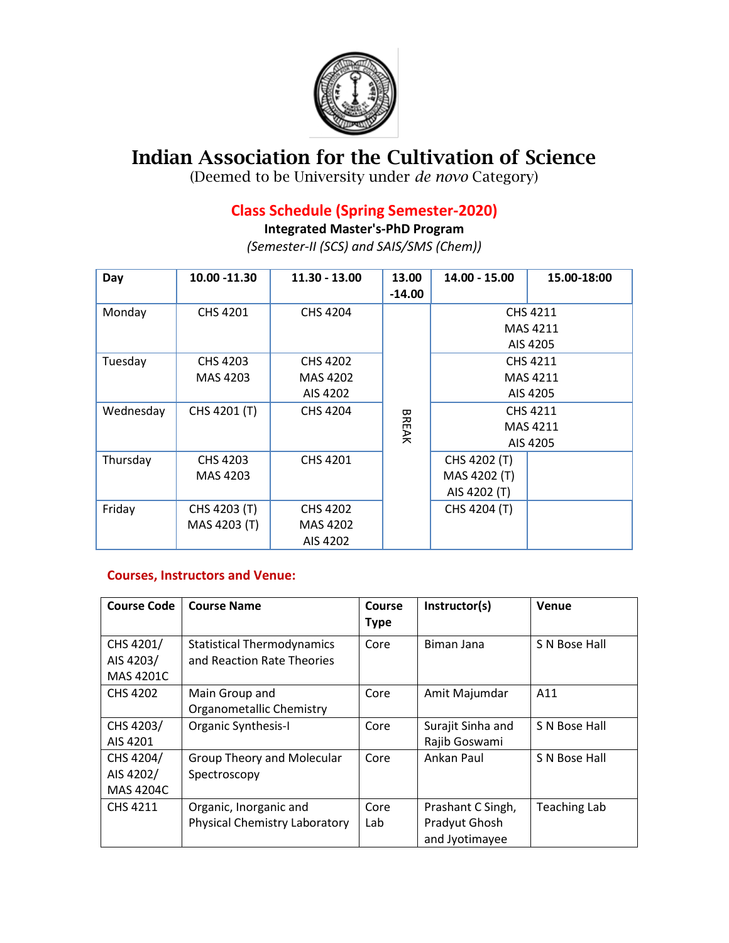

## **Indian Association for the Cultivation of Science**

(Deemed to be University under *de novo* Category)

## **Class Schedule (Spring Semester-2020)**

**Integrated Master's-PhD Program**

*(Semester-II (SCS) and SAIS/SMS (Chem))*

| Day       | 10.00 -11.30    | 11.30 - 13.00   | 13.00<br>$-14.00$ | $14.00 - 15.00$      | 15.00-18:00 |  |
|-----------|-----------------|-----------------|-------------------|----------------------|-------------|--|
| Monday    | CHS 4201        | CHS 4204        |                   | CHS 4211<br>MAS 4211 |             |  |
|           |                 |                 |                   |                      | AIS 4205    |  |
| Tuesday   | CHS 4203        | <b>CHS 4202</b> |                   | CHS 4211             |             |  |
|           | MAS 4203        | MAS 4202        |                   | MAS 4211             |             |  |
|           |                 | AIS 4202        |                   |                      | AIS 4205    |  |
| Wednesday | CHS 4201 (T)    | CHS 4204        | <b>BREAK</b>      | CHS 4211<br>MAS 4211 |             |  |
|           |                 |                 |                   | AIS 4205             |             |  |
| Thursday  | <b>CHS 4203</b> | CHS 4201        |                   | CHS 4202 (T)         |             |  |
|           | MAS 4203        |                 |                   | MAS 4202 (T)         |             |  |
|           |                 |                 |                   | AIS 4202 (T)         |             |  |
| Friday    | CHS 4203 (T)    | <b>CHS 4202</b> |                   | CHS 4204 (T)         |             |  |
|           | MAS 4203 (T)    | MAS 4202        |                   |                      |             |  |
|           |                 | AIS 4202        |                   |                      |             |  |

## **Courses, Instructors and Venue:**

| <b>Course Code</b>                         | <b>Course Name</b>                                              | Course<br><b>Type</b> | Instructor(s)                                        | Venue               |
|--------------------------------------------|-----------------------------------------------------------------|-----------------------|------------------------------------------------------|---------------------|
| CHS 4201/<br>AIS 4203/<br>MAS 4201C        | <b>Statistical Thermodynamics</b><br>and Reaction Rate Theories | Core                  | Biman Jana                                           | S N Bose Hall       |
| <b>CHS 4202</b>                            | Main Group and<br>Organometallic Chemistry                      | Core                  | Amit Majumdar                                        | A11                 |
| CHS 4203/<br>AIS 4201                      | <b>Organic Synthesis-I</b>                                      | Core                  | Surajit Sinha and<br>Rajib Goswami                   | S N Bose Hall       |
| CHS 4204/<br>AIS 4202/<br><b>MAS 4204C</b> | <b>Group Theory and Molecular</b><br>Spectroscopy               | Core                  | Ankan Paul                                           | S N Bose Hall       |
| <b>CHS 4211</b>                            | Organic, Inorganic and<br><b>Physical Chemistry Laboratory</b>  | Core<br>Lab           | Prashant C Singh,<br>Pradyut Ghosh<br>and Jyotimayee | <b>Teaching Lab</b> |